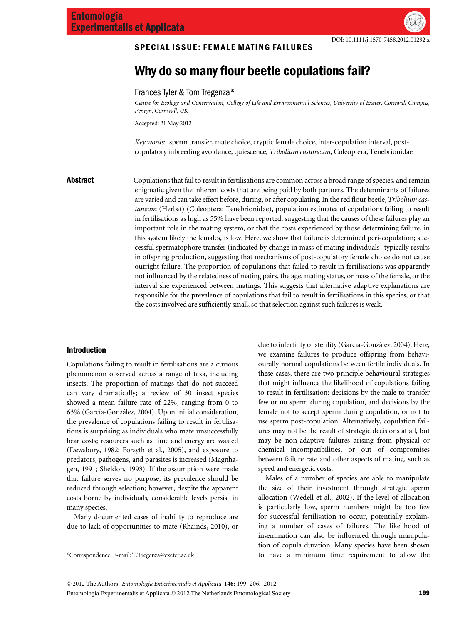# SPECIAL ISSUE: FEMALE MATING FAILURES

# Why do so many flour beetle copulations fail?

س<br>Centre for Ecology and Conservation, College of Life and Environmental Sciences, University of Exeter, Cornwall Campus, Penryn, Cornwall, UK

Accepted: 21 May 2012

Key words: sperm transfer, mate choice, cryptic female choice, inter-copulation interval, postcopulatory inbreeding avoidance, quiescence, Tribolium castaneum, Coleoptera, Tenebrionidae

**Abstract** Copulations that fail to result in fertilisations are common across a broad range of species, and remain enigmatic given the inherent costs that are being paid by both partners. The determinants of failures are varied and can take effect before, during, or after copulating. In the red flour beetle, Tribolium castaneum (Herbst) (Coleoptera: Tenebrionidae), population estimates of copulations failing to result in fertilisations as high as 55% have been reported, suggesting that the causes of these failures play an important role in the mating system, or that the costs experienced by those determining failure, in this system likely the females, is low. Here, we show that failure is determined peri-copulation; successful spermatophore transfer (indicated by change in mass of mating individuals) typically results in offspring production, suggesting that mechanisms of post-copulatory female choice do not cause outright failure. The proportion of copulations that failed to result in fertilisations was apparently not influenced by the relatedness of mating pairs, the age, mating status, or mass of the female, or the interval she experienced between matings. This suggests that alternative adaptive explanations are responsible for the prevalence of copulations that fail to result in fertilisations in this species, or that the costs involved are sufficiently small, so that selection against such failures is weak.

# Introduction

Copulations failing to result in fertilisations are a curious phenomenon observed across a range of taxa, including insects. The proportion of matings that do not succeed can vary dramatically; a review of 30 insect species showed a mean failure rate of 22%, ranging from 0 to 63% (García-González, 2004). Upon initial consideration, the prevalence of copulations failing to result in fertilisations is surprising as individuals who mate unsuccessfully bear costs; resources such as time and energy are wasted (Dewsbury, 1982; Forsyth et al., 2005), and exposure to predators, pathogens, and parasites is increased (Magnhagen, 1991; Sheldon, 1993). If the assumption were made that failure serves no purpose, its prevalence should be reduced through selection; however, despite the apparent costs borne by individuals, considerable levels persist in many species.

Many documented cases of inability to reproduce are due to lack of opportunities to mate (Rhainds, 2010), or

due to infertility or sterility (García-González, 2004). Here, we examine failures to produce offspring from behaviourally normal copulations between fertile individuals. In these cases, there are two principle behavioural strategies that might influence the likelihood of copulations failing to result in fertilisation: decisions by the male to transfer few or no sperm during copulation, and decisions by the female not to accept sperm during copulation, or not to use sperm post-copulation. Alternatively, copulation failures may not be the result of strategic decisions at all, but may be non-adaptive failures arising from physical or chemical incompatibilities, or out of compromises between failure rate and other aspects of mating, such as speed and energetic costs.

Males of a number of species are able to manipulate the size of their investment through strategic sperm allocation (Wedell et al., 2002). If the level of allocation is particularly low, sperm numbers might be too few for successful fertilisation to occur, potentially explaining a number of cases of failures. The likelihood of insemination can also be influenced through manipulation of copula duration. Many species have been shown \*Correspondence: E-mail: T.Tregenza@exeter.ac.uk to have a minimum time requirement to allow the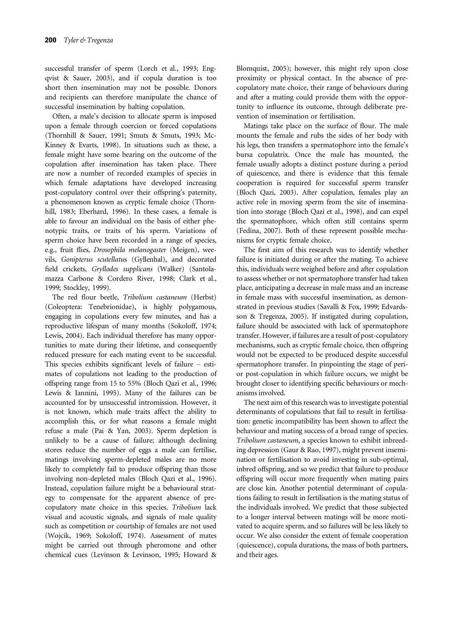successful transfer of sperm (Lorch et al., 1993; Engqvist & Sauer, 2003), and if copula duration is too short then insemination may not be possible. Donors and recipients can therefore manipulate the chance of successful insemination by halting copulation.

Often, a male's decision to allocate sperm is imposed upon a female through coercion or forced copulations (Thornhill & Sauer, 1991; Smuts & Smuts, 1993; Mc-Kinney & Evarts, 1998). In situations such as these, a female might have some bearing on the outcome of the copulation after insemination has taken place. There are now a number of recorded examples of species in which female adaptations have developed increasing post-copulatory control over their offspring's paternity, a phenomenon known as cryptic female choice (Thornhill, 1983; Eberhard, 1996). In these cases, a female is able to favour an individual on the basis of either phenotypic traits, or traits of his sperm. Variations of sperm choice have been recorded in a range of species, e.g., fruit flies, Drosophila melanogaster (Meigen), weevils, Gonipterus scutellatus (Gyllenhal), and decorated field crickets, Gryllodes supplicans (Walker) (Santolamazza Carbone & Cordero River, 1998; Clark et al., 1999; Stockley, 1999).

The red flour beetle, Tribolium castaneum (Herbst) (Coleoptera: Tenebrionidae), is highly polygamous, engaging in copulations every few minutes, and has a reproductive lifespan of many months (Sokoloff, 1974; Lewis, 2004). Each individual therefore has many opportunities to mate during their lifetime, and consequently reduced pressure for each mating event to be successful. This species exhibits significant levels of failure – estimates of copulations not leading to the production of offspring range from 15 to 55% (Bloch Qazi et al., 1996; Lewis & Iannini, 1995). Many of the failures can be accounted for by unsuccessful intromission. However, it is not known, which male traits affect the ability to accomplish this, or for what reasons a female might refuse a male (Pai & Yan, 2003). Sperm depletion is unlikely to be a cause of failure; although declining stores reduce the number of eggs a male can fertilise, matings involving sperm-depleted males are no more likely to completely fail to produce offspring than those involving non-depleted males (Bloch Qazi et al., 1996). Instead, copulation failure might be a behavioural strategy to compensate for the apparent absence of precopulatory mate choice in this species. Tribolium lack visual and acoustic signals, and signals of male quality such as competition or courtship of females are not used (Wojcik, 1969; Sokoloff, 1974). Assessment of mates might be carried out through pheromone and other chemical cues (Levinson & Levinson, 1995; Howard & Blomquist, 2005); however, this might rely upon close proximity or physical contact. In the absence of precopulatory mate choice, their range of behaviours during and after a mating could provide them with the opportunity to influence its outcome, through deliberate prevention of insemination or fertilisation.

Matings take place on the surface of flour. The male mounts the female and rubs the sides of her body with his legs, then transfers a spermatophore into the female's bursa copulatrix. Once the male has mounted, the female usually adopts a distinct posture during a period of quiescence, and there is evidence that this female cooperation is required for successful sperm transfer (Bloch Qazi, 2003). After copulation, females play an active role in moving sperm from the site of insemination into storage (Bloch Qazi et al., 1998), and can expel the spermatophore, which often still contains sperm (Fedina, 2007). Both of these represent possible mechanisms for cryptic female choice.

The first aim of this research was to identify whether failure is initiated during or after the mating. To achieve this, individuals were weighed before and after copulation to assess whether or not spermatophore transfer had taken place, anticipating a decrease in male mass and an increase in female mass with successful insemination, as demonstrated in previous studies (Savalli & Fox, 1999; Edvardsson & Tregenza, 2005). If instigated during copulation, failure should be associated with lack of spermatophore transfer. However, if failures are a result of post-copulatory mechanisms, such as cryptic female choice, then offspring would not be expected to be produced despite successful spermatophore transfer. In pinpointing the stage of perior post-copulation in which failure occurs, we might be brought closer to identifying specific behaviours or mechanisms involved.

The next aim of this research was to investigate potential determinants of copulations that fail to result in fertilisation: genetic incompatibility has been shown to affect the behaviour and mating success of a broad range of species. Tribolium castaneum, a species known to exhibit inbreeding depression (Gaur & Rao, 1997), might prevent insemination or fertilisation to avoid investing in sub-optimal, inbred offspring, and so we predict that failure to produce offspring will occur more frequently when mating pairs are close kin. Another potential determinant of copulations failing to result in fertilisation is the mating status of the individuals involved. We predict that those subjected to a longer interval between matings will be more motivated to acquire sperm, and so failures will be less likely to occur. We also consider the extent of female cooperation (quiescence), copula durations, the mass of both partners, and their ages.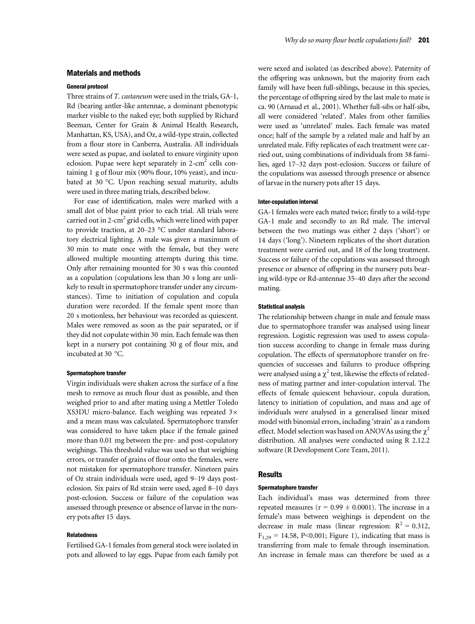# Materials and methods

#### General protocol

Three strains of T. castaneum were used in the trials, GA-1, Rd (bearing antler-like antennae, a dominant phenotypic marker visible to the naked eye; both supplied by Richard Beeman, Center for Grain & Animal Health Research, Manhattan, KS, USA), and Oz, a wild-type strain, collected from a flour store in Canberra, Australia. All individuals were sexed as pupae, and isolated to ensure virginity upon eclosion. Pupae were kept separately in  $2$ -cm<sup>2</sup> cells containing 1 g of flour mix (90% flour, 10% yeast), and incubated at 30 °C. Upon reaching sexual maturity, adults were used in three mating trials, described below.

For ease of identification, males were marked with a small dot of blue paint prior to each trial. All trials were carried out in 2-cm<sup>2</sup> grid cells, which were lined with paper to provide traction, at 20–23 °C under standard laboratory electrical lighting. A male was given a maximum of 30 min to mate once with the female, but they were allowed multiple mounting attempts during this time. Only after remaining mounted for 30 s was this counted as a copulation (copulations less than 30 s long are unlikely to result in spermatophore transfer under any circumstances). Time to initiation of copulation and copula duration were recorded. If the female spent more than 20 s motionless, her behaviour was recorded as quiescent. Males were removed as soon as the pair separated, or if they did not copulate within 30 min. Each female was then kept in a nursery pot containing 30 g of flour mix, and incubated at 30 °C.

#### Spermatophore transfer

Virgin individuals were shaken across the surface of a fine mesh to remove as much flour dust as possible, and then weighed prior to and after mating using a Mettler Toledo XS3DU micro-balance. Each weighing was repeated  $3\times$ and a mean mass was calculated. Spermatophore transfer was considered to have taken place if the female gained more than 0.01 mg between the pre- and post-copulatory weighings. This threshold value was used so that weighing errors, or transfer of grains of flour onto the females, were not mistaken for spermatophore transfer. Nineteen pairs of Oz strain individuals were used, aged 9–19 days posteclosion. Six pairs of Rd strain were used, aged 8–10 days post-eclosion. Success or failure of the copulation was assessed through presence or absence of larvae in the nursery pots after 15 days.

### Relatedness

Fertilised GA-1 females from general stock were isolated in pots and allowed to lay eggs. Pupae from each family pot

were sexed and isolated (as described above). Paternity of the offspring was unknown, but the majority from each family will have been full-siblings, because in this species, the percentage of offspring sired by the last male to mate is ca. 90 (Arnaud et al., 2001). Whether full-sibs or half-sibs, all were considered 'related'. Males from other families were used as 'unrelated' males. Each female was mated once; half of the sample by a related male and half by an unrelated male. Fifty replicates of each treatment were carried out, using combinations of individuals from 38 families, aged 17–32 days post-eclosion. Success or failure of the copulations was assessed through presence or absence of larvae in the nursery pots after 15 days.

#### Inter-copulation interval

GA-1 females were each mated twice; firstly to a wild-type GA-1 male and secondly to an Rd male. The interval between the two matings was either 2 days ('short') or 14 days ('long'). Nineteen replicates of the short duration treatment were carried out, and 18 of the long treatment. Success or failure of the copulations was assessed through presence or absence of offspring in the nursery pots bearing wild-type or Rd-antennae 35–40 days after the second mating.

# Statistical analysis

The relationship between change in male and female mass due to spermatophore transfer was analysed using linear regression. Logistic regression was used to assess copulation success according to change in female mass during copulation. The effects of spermatophore transfer on frequencies of successes and failures to produce offspring were analysed using a  $\chi^2$  test, likewise the effects of relatedness of mating partner and inter-copulation interval. The effects of female quiescent behaviour, copula duration, latency to initiation of copulation, and mass and age of individuals were analysed in a generalised linear mixed model with binomial errors, including 'strain' as a random effect. Model selection was based on ANOVAs using the  $\chi^2$ distribution. All analyses were conducted using R 2.12.2 software (R Development Core Team, 2011).

#### **Results**

#### Spermatophore transfer

Each individual's mass was determined from three repeated measures ( $r = 0.99 \pm 0.0001$ ). The increase in a female's mass between weighings is dependent on the decrease in male mass (linear regression:  $R^2 = 0.312$ ,  $F_{1,29} = 14.58$ , P<0.001; Figure 1), indicating that mass is transferring from male to female through insemination. An increase in female mass can therefore be used as a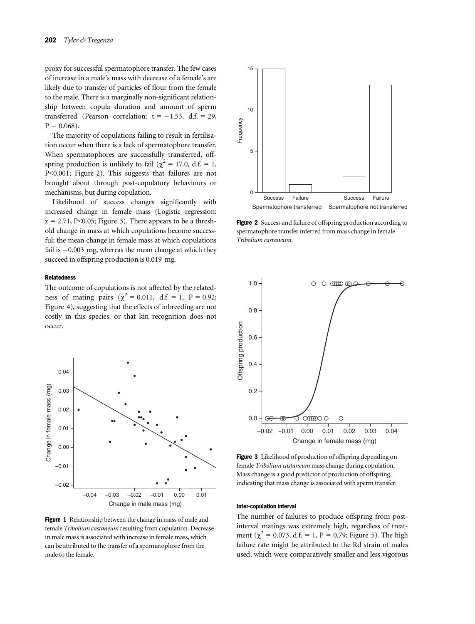proxy for successful spermatophore transfer. The few cases of increase in a male's mass with decrease of a female's are likely due to transfer of particles of flour from the female to the male. There is a marginally non-significant relationship between copula duration and amount of sperm transferred (Pearson correlation:  $t = -1.53$ , d.f. = 29,  $P = 0.068$ ).

The majority of copulations failing to result in fertilisation occur when there is a lack of spermatophore transfer. When spermatophores are successfully transferred, offspring production is unlikely to fail ( $\chi^2$  = 17.0, d.f. = 1, P<0.001; Figure 2). This suggests that failures are not brought about through post-copulatory behaviours or mechanisms, but during copulation.

Likelihood of success changes significantly with increased change in female mass (Logistic regression:  $z = 2.71$ , P<0.05; Figure 3). There appears to be a threshold change in mass at which copulations become successful; the mean change in female mass at which copulations fail is  $-0.003$  mg, whereas the mean change at which they succeed in offspring production is 0.019 mg.

## Relatedness

The outcome of copulations is not affected by the relatedness of mating pairs ( $\chi^2 = 0.011$ , d.f. = 1, P = 0.92; Figure 4), suggesting that the effects of inbreeding are not costly in this species, or that kin recognition does not occur.



Figure 1 Relationship between the change in mass of male and female Tribolium castaneum resulting from copulation. Decrease in male mass is associated with increase in female mass, which can be attributed to the transfer of a spermatophore from the male to the female.



Figure 2 Success and failure of offspring production according to spermatophore transfer inferred from mass change in female Tribolium castaneum.



Figure 3 Likelihood of production of offspring depending on female Tribolium castaneum mass change during copulation. Mass change is a good predictor of production of offspring, indicating that mass change is associated with sperm transfer.

#### Inter-copulation interval

The number of failures to produce offspring from postinterval matings was extremely high, regardless of treatment ( $\chi^2$  = 0.073, d.f. = 1, P = 0.79; Figure 5). The high failure rate might be attributed to the Rd strain of males used, which were comparatively smaller and less vigorous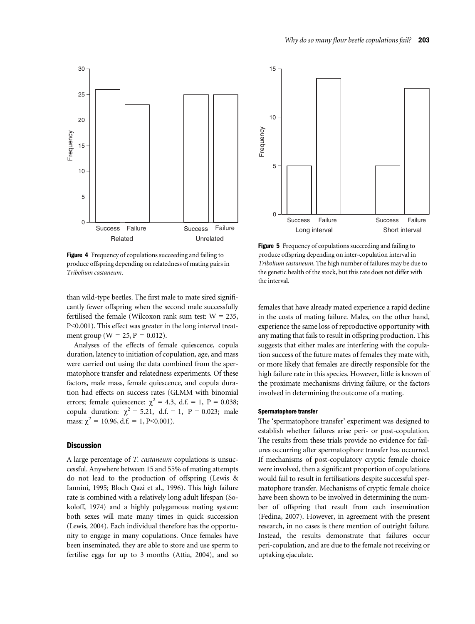

Figure 4 Frequency of copulations succeeding and failing to produce offspring depending on relatedness of mating pairs in Tribolium castaneum.

than wild-type beetles. The first male to mate sired significantly fewer offspring when the second male successfully fertilised the female (Wilcoxon rank sum test:  $W = 235$ , P<0.001). This effect was greater in the long interval treatment group ( $W = 25$ ,  $P = 0.012$ ).

Analyses of the effects of female quiescence, copula duration, latency to initiation of copulation, age, and mass were carried out using the data combined from the spermatophore transfer and relatedness experiments. Of these factors, male mass, female quiescence, and copula duration had effects on success rates (GLMM with binomial errors; female quiescence:  $\chi^2 = 4.3$ , d.f. = 1, P = 0.038; copula duration:  $\chi^2 = 5.21$ , d.f. = 1, P = 0.023; male mass:  $\chi^2 = 10.96$ , d.f. = 1, P<0.001).

# **Discussion**

A large percentage of T. castaneum copulations is unsuccessful. Anywhere between 15 and 55% of mating attempts do not lead to the production of offspring (Lewis & Iannini, 1995; Bloch Qazi et al., 1996). This high failure rate is combined with a relatively long adult lifespan (Sokoloff, 1974) and a highly polygamous mating system: both sexes will mate many times in quick succession (Lewis, 2004). Each individual therefore has the opportunity to engage in many copulations. Once females have been inseminated, they are able to store and use sperm to fertilise eggs for up to 3 months (Attia, 2004), and so



Figure 5 Frequency of copulations succeeding and failing to produce offspring depending on inter-copulation interval in Tribolium castaneum. The high number of failures may be due to the genetic health of the stock, but this rate does not differ with the interval.

females that have already mated experience a rapid decline in the costs of mating failure. Males, on the other hand, experience the same loss of reproductive opportunity with any mating that fails to result in offspring production. This suggests that either males are interfering with the copulation success of the future mates of females they mate with, or more likely that females are directly responsible for the high failure rate in this species. However, little is known of the proximate mechanisms driving failure, or the factors involved in determining the outcome of a mating.

#### Spermatophore transfer

The 'spermatophore transfer' experiment was designed to establish whether failures arise peri- or post-copulation. The results from these trials provide no evidence for failures occurring after spermatophore transfer has occurred. If mechanisms of post-copulatory cryptic female choice were involved, then a significant proportion of copulations would fail to result in fertilisations despite successful spermatophore transfer. Mechanisms of cryptic female choice have been shown to be involved in determining the number of offspring that result from each insemination (Fedina, 2007). However, in agreement with the present research, in no cases is there mention of outright failure. Instead, the results demonstrate that failures occur peri-copulation, and are due to the female not receiving or uptaking ejaculate.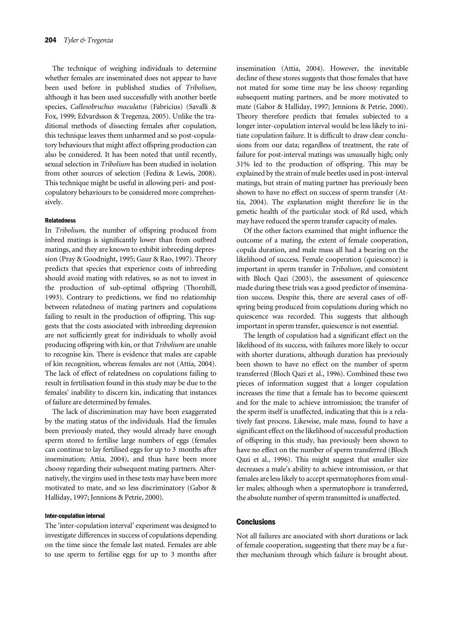The technique of weighing individuals to determine whether females are inseminated does not appear to have been used before in published studies of Tribolium, although it has been used successfully with another beetle species, Callosobruchus maculatus (Fabricius) (Savalli & Fox, 1999; Edvardsson & Tregenza, 2005). Unlike the traditional methods of dissecting females after copulation, this technique leaves them unharmed and so post-copulatory behaviours that might affect offspring production can also be considered. It has been noted that until recently, sexual selection in Tribolium has been studied in isolation from other sources of selection (Fedina & Lewis, 2008). This technique might be useful in allowing peri- and postcopulatory behaviours to be considered more comprehensively.

# Relatedness

In Tribolium, the number of offspring produced from inbred matings is significantly lower than from outbred matings, and they are known to exhibit inbreeding depression (Pray & Goodnight, 1995; Gaur & Rao, 1997). Theory predicts that species that experience costs of inbreeding should avoid mating with relatives, so as not to invest in the production of sub-optimal offspring (Thornhill, 1993). Contrary to predictions, we find no relationship between relatedness of mating partners and copulations failing to result in the production of offspring. This suggests that the costs associated with inbreeding depression are not sufficiently great for individuals to wholly avoid producing offspring with kin, or that Tribolium are unable to recognise kin. There is evidence that males are capable of kin recognition, whereas females are not (Attia, 2004). The lack of effect of relatedness on copulations failing to result in fertilisation found in this study may be due to the females' inability to discern kin, indicating that instances of failure are determined by females.

The lack of discrimination may have been exaggerated by the mating status of the individuals. Had the females been previously mated, they would already have enough sperm stored to fertilise large numbers of eggs (females can continue to lay fertilised eggs for up to 3 months after insemination; Attia, 2004), and thus have been more choosy regarding their subsequent mating partners. Alternatively, the virgins used in these tests may have been more motivated to mate, and so less discriminatory (Gabor & Halliday, 1997; Jennions & Petrie, 2000).

# Inter-copulation interval

The 'inter-copulation interval' experiment was designed to investigate differences in success of copulations depending on the time since the female last mated. Females are able to use sperm to fertilise eggs for up to 3 months after

insemination (Attia, 2004). However, the inevitable decline of these stores suggests that those females that have not mated for some time may be less choosy regarding subsequent mating partners, and be more motivated to mate (Gabor & Halliday, 1997; Jennions & Petrie, 2000). Theory therefore predicts that females subjected to a longer inter-copulation interval would be less likely to initiate copulation failure. It is difficult to draw clear conclusions from our data; regardless of treatment, the rate of failure for post-interval matings was unusually high; only 31% led to the production of offspring. This may be explained by the strain of male beetles used in post-interval matings, but strain of mating partner has previously been shown to have no effect on success of sperm transfer (Attia, 2004). The explanation might therefore lie in the genetic health of the particular stock of Rd used, which may have reduced the sperm transfer capacity of males.

Of the other factors examined that might influence the outcome of a mating, the extent of female cooperation, copula duration, and male mass all had a bearing on the likelihood of success. Female cooperation (quiescence) is important in sperm transfer in Tribolium, and consistent with Bloch Qazi (2003), the assessment of quiescence made during these trials was a good predictor of insemination success. Despite this, there are several cases of offspring being produced from copulations during which no quiescence was recorded. This suggests that although important in sperm transfer, quiescence is not essential.

The length of copulation had a significant effect on the likelihood of its success, with failures more likely to occur with shorter durations, although duration has previously been shown to have no effect on the number of sperm transferred (Bloch Qazi et al., 1996). Combined these two pieces of information suggest that a longer copulation increases the time that a female has to become quiescent and for the male to achieve intromission; the transfer of the sperm itself is unaffected, indicating that this is a relatively fast process. Likewise, male mass, found to have a significant effect on the likelihood of successful production of offspring in this study, has previously been shown to have no effect on the number of sperm transferred (Bloch Qazi et al., 1996). This might suggest that smaller size decreases a male's ability to achieve intromission, or that females are less likely to accept spermatophores from smaller males; although when a spermatophore is transferred, the absolute number of sperm transmitted is unaffected.

### **Conclusions**

Not all failures are associated with short durations or lack of female cooperation, suggesting that there may be a further mechanism through which failure is brought about.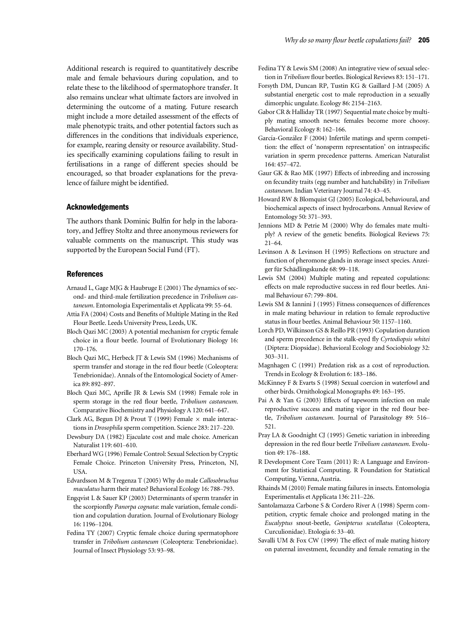Additional research is required to quantitatively describe male and female behaviours during copulation, and to relate these to the likelihood of spermatophore transfer. It also remains unclear what ultimate factors are involved in determining the outcome of a mating. Future research might include a more detailed assessment of the effects of male phenotypic traits, and other potential factors such as differences in the conditions that individuals experience, for example, rearing density or resource availability. Studies specifically examining copulations failing to result in fertilisations in a range of different species should be encouraged, so that broader explanations for the prevalence of failure might be identified.

#### Acknowledgements

The authors thank Dominic Bulfin for help in the laboratory, and Jeffrey Stoltz and three anonymous reviewers for valuable comments on the manuscript. This study was supported by the European Social Fund (FT).

#### References

- Arnaud L, Gage MJG & Haubruge E (2001) The dynamics of second- and third-male fertilization precedence in Tribolium castaneum. Entomologia Experimentalis et Applicata 99: 55–64.
- Attia FA (2004) Costs and Benefits of Multiple Mating in the Red Flour Beetle. Leeds University Press, Leeds, UK.
- Bloch Qazi MC (2003) A potential mechanism for cryptic female choice in a flour beetle. Journal of Evolutionary Biology 16: 170–176.
- Bloch Qazi MC, Herbeck JT & Lewis SM (1996) Mechanisms of sperm transfer and storage in the red flour beetle (Coleoptera: Tenebrionidae). Annals of the Entomological Society of America 89: 892–897.
- Bloch Qazi MC, Aprille JR & Lewis SM (1998) Female role in sperm storage in the red flour beetle, Tribolium castaneum. Comparative Biochemistry and Physiology A 120: 641–647.
- Clark AG, Begun DJ & Prout T (1999) Female  $\times$  male interactions in Drosophila sperm competition. Science 283: 217–220.
- Dewsbury DA (1982) Ejaculate cost and male choice. American Naturalist 119: 601–610.
- Eberhard WG (1996) Female Control: Sexual Selection by Cryptic Female Choice. Princeton University Press, Princeton, NJ, USA.
- Edvardsson M & Tregenza T (2005) Why do male Callosobruchus maculatus harm their mates? Behavioral Ecology 16: 788–793.
- Engqvist L & Sauer KP (2003) Determinants of sperm transfer in the scorpionfly Panorpa cognata: male variation, female condition and copulation duration. Journal of Evolutionary Biology 16: 1196–1204.
- Fedina TY (2007) Cryptic female choice during spermatophore transfer in Tribolium castaneum (Coleoptera: Tenebrionidae). Journal of Insect Physiology 53: 93–98.
- Fedina TY & Lewis SM (2008) An integrative view of sexual selection in Tribolium flour beetles. Biological Reviews 83: 151–171.
- Forsyth DM, Duncan RP, Tustin KG & Gaillard J-M (2005) A substantial energetic cost to male reproduction in a sexually dimorphic ungulate. Ecology 86: 2154–2163.
- Gabor CR & Halliday TR (1997) Sequential mate choice by multiply mating smooth newts: females become more choosy. Behavioral Ecology 8: 162–166.
- García-González F (2004) Infertile matings and sperm competition: the effect of 'nonsperm representation' on intraspecific variation in sperm precedence patterns. American Naturalist 164: 457–472.
- Gaur GK & Rao MK (1997) Effects of inbreeding and incrossing on fecundity traits (egg number and hatchability) in Tribolium castaneum. Indian Veterinary Journal 74: 43–45.
- Howard RW & Blomquist GJ (2005) Ecological, behavioural, and biochemical aspects of insect hydrocarbons. Annual Review of Entomology 50: 371–393.
- Jennions MD & Petrie M (2000) Why do females mate multiply? A review of the genetic benefits. Biological Reviews 75: 21–64.
- Levinson A & Levinson H (1995) Reflections on structure and function of pheromone glands in storage insect species. Anzeiger für Schädlingskunde 68: 99-118.
- Lewis SM (2004) Multiple mating and repeated copulations: effects on male reproductive success in red flour beetles. Animal Behaviour 67: 799–804.
- Lewis SM & Iannini J (1995) Fitness consequences of differences in male mating behaviour in relation to female reproductive status in flour beetles. Animal Behaviour 50: 1157–1160.
- Lorch PD, Wilkinson GS & Reillo PR (1993) Copulation duration and sperm precedence in the stalk-eyed fly Cyrtodiopsis whitei (Diptera: Diopsidae). Behavioral Ecology and Sociobiology 32: 303–311.
- Magnhagen C (1991) Predation risk as a cost of reproduction. Trends in Ecology & Evolution 6: 183–186.
- McKinney F & Evarts S (1998) Sexual coercion in waterfowl and other birds. Ornithological Monographs 49: 163–195.
- Pai A & Yan G (2003) Effects of tapeworm infection on male reproductive success and mating vigor in the red flour beetle, Tribolium castaneum. Journal of Parasitology 89: 516– 521.
- Pray LA & Goodnight CJ (1995) Genetic variation in inbreeding depression in the red flour beetle Tribolium castaneum. Evolution 49: 176–188.
- R Development Core Team (2011) R: A Language and Environment for Statistical Computing. R Foundation for Statistical Computing, Vienna, Austria.
- Rhainds M (2010) Female mating failures in insects. Entomologia Experimentalis et Applicata 136: 211–226.
- Santolamazza Carbone S & Cordero River A (1998) Sperm competition, cryptic female choice and prolonged mating in the Eucalyptus snout-beetle, Gonipterus scutellatus (Coleoptera, Curculionidae). Etología 6: 33-40.
- Savalli UM & Fox CW (1999) The effect of male mating history on paternal investment, fecundity and female remating in the